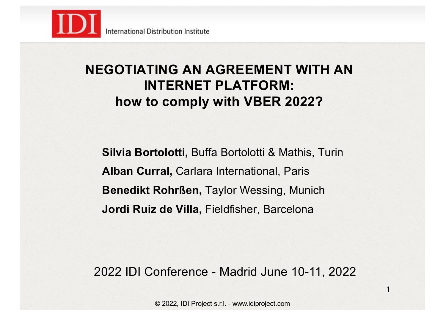

### **NEGOTIATING AN AGREEMENT WITH AN INTERNET PLATFORM: how to comply with VBER 2022?**

**Silvia Bortolotti,** Buffa Bortolotti & Mathis, Turin **Alban Curral,** Carlara International, Paris **Benedikt Rohrßen,** Taylor Wessing, Munich **Jordi Ruiz de Villa,** Fieldfisher, Barcelona

2022 IDI Conference - Madrid June 10-11, 2022

1

© 2022, IDI Project s.r.l. - www.idiproject.com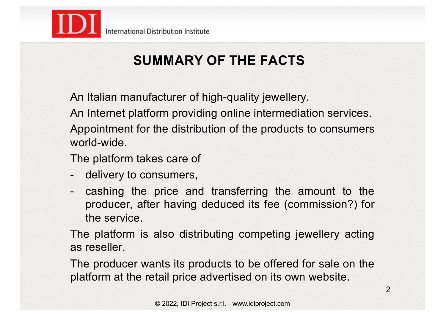

# **SUMMARY OF THE FACTS**

An Italian manufacturer of high-quality jewellery.

An Internet platform providing online intermediation services.

Appointment for the distribution of the products to consumers world-wide.

The platform takes care of

- delivery to consumers,
- cashing the price and transferring the amount to the producer, after having deduced its fee (commission?) for the service.

The platform is also distributing competing jewellery acting as reseller.

The producer wants its products to be offered for sale on the platform at the retail price advertised on its own website.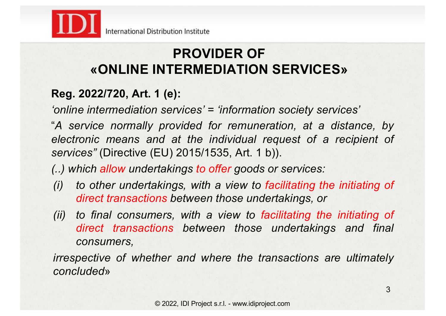

### **PROVIDER OF «ONLINE INTERMEDIATION SERVICES»**

### **Reg. 2022/720, Art. 1 (e):**

*'online intermediation services' = 'information society services'*

"*A service normally provided for remuneration, at a distance, by electronic means and at the individual request of a recipient of services"* (Directive (EU) 2015/1535, Art. 1 b)).

*(..) which allow undertakings to offer goods or services:*

- *(i) to other undertakings, with a view to facilitating the initiating of direct transactions between those undertakings, or*
- *(ii) to final consumers, with a view to facilitating the initiating of direct transactions between those undertakings and final consumers,*

*irrespective of whether and where the transactions are ultimately concluded*»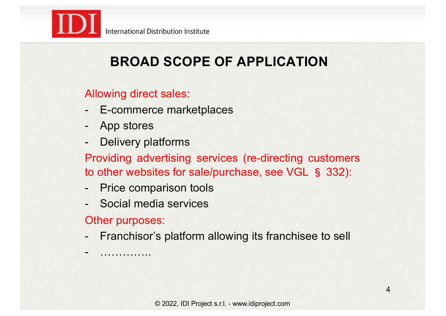

# **BROAD SCOPE OF APPLICATION**

### Allowing direct sales:

- E-commerce marketplaces
- App stores
- Delivery platforms

Providing advertising services (re-directing customers to other websites for sale/purchase, see VGL § 332):

- Price comparison tools
- Social media services

Other purposes:

- …………..

Franchisor's platform allowing its franchisee to sell

© 2022, IDI Project s.r.l. - www.idiproject.com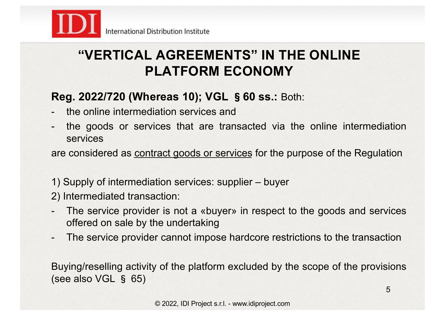

### **"VERTICAL AGREEMENTS" IN THE ONLINE PLATFORM ECONOMY**

### **Reg. 2022/720 (Whereas 10); VGL** §**60 ss.:** Both:

- the online intermediation services and
- the goods or services that are transacted via the online intermediation services

are considered as contract goods or services for the purpose of the Regulation

- 1) Supply of intermediation services: supplier buyer
- 2) Intermediated transaction:
- The service provider is not a «buyer» in respect to the goods and services offered on sale by the undertaking
- The service provider cannot impose hardcore restrictions to the transaction

Buying/reselling activity of the platform excluded by the scope of the provisions (see also VGL § 65)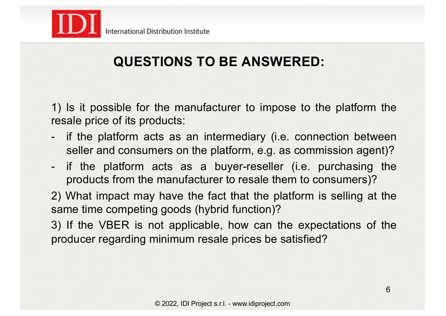

# **QUESTIONS TO BE ANSWERED:**

1) Is it possible for the manufacturer to impose to the platform the resale price of its products:

- if the platform acts as an intermediary (i.e. connection between seller and consumers on the platform, e.g. as commission agent)?
- if the platform acts as a buyer-reseller (i.e. purchasing the products from the manufacturer to resale them to consumers)?

2) What impact may have the fact that the platform is selling at the same time competing goods (hybrid function)?

3) If the VBER is not applicable, how can the expectations of the producer regarding minimum resale prices be satisfied?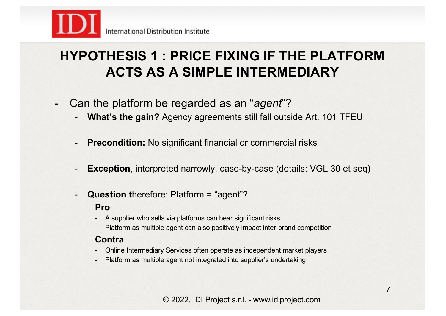

### **HYPOTHESIS 1 : PRICE FIXING IF THE PLATFORM ACTS AS A SIMPLE INTERMEDIARY**

- Can the platform be regarded as an "*agent*"?
	- **What's the gain?** Agency agreements still fall outside Art. 101 TFEU
	- **Precondition:** No significant financial or commercial risks
	- **Exception**, interpreted narrowly, case-by-case (details: VGL 30 et seq)
	- **Question t**herefore: Platform = "agent"? **Pro**:
		- A supplier who sells via platforms can bear significant risks
		- Platform as multiple agent can also positively impact inter-brand competition

#### **Contra**:

- Online Intermediary Services often operate as independent market players
- Platform as multiple agent not integrated into supplier's undertaking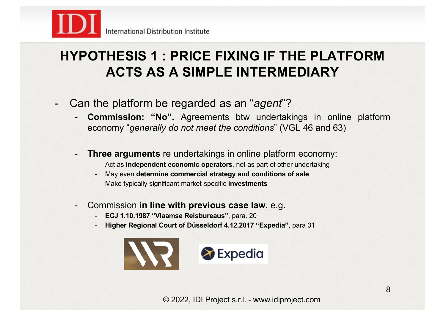

### **HYPOTHESIS 1 : PRICE FIXING IF THE PLATFORM ACTS AS A SIMPLE INTERMEDIARY**

- Can the platform be regarded as an "*agent*"?
	- **Commission: "No".** Agreements btw undertakings in online platform economy "*generally do not meet the conditions*" (VGL 46 and 63)
	- **Three arguments** re undertakings in online platform economy:
		- Act as **independent economic operators**, not as part of other undertaking
		- May even **determine commercial strategy and conditions of sale**
		- Make typically significant market-specific **investments**
	- Commission **in line with previous case law**, e.g.
		- **ECJ 1.10.1987 "Vlaamse Reisbureaus"**, para. 20
		- **Higher Regional Court of Düsseldorf 4.12.2017 "Expedia"**, para 31

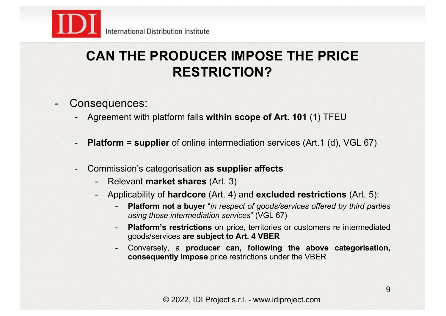

### **CAN THE PRODUCER IMPOSE THE PRICE RESTRICTION?**

- Consequences:
	- Agreement with platform falls **within scope of Art. 101** (1) TFEU
	- **Platform = supplier** of online intermediation services (Art.1 (d), VGL 67)
	- Commission's categorisation **as supplier affects**
		- Relevant **market shares** (Art. 3)
		- Applicability of **hardcore** (Art. 4) and **excluded restrictions** (Art. 5):
			- **Platform not a buyer** "*in respect of goods/services offered by third parties using those intermediation services*" (VGL 67)
			- **Platform's restrictions** on price, territories or customers re intermediated goods/services **are subject to Art. 4 VBER**
			- Conversely, a **producer can, following the above categorisation, consequently impose** price restrictions under the VBER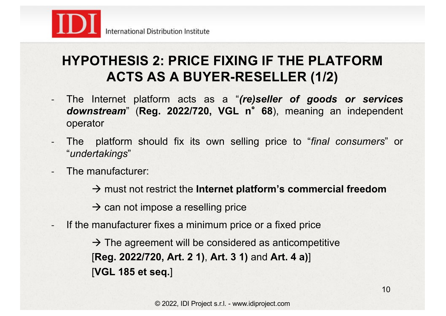

## **HYPOTHESIS 2: PRICE FIXING IF THE PLATFORM ACTS AS A BUYER-RESELLER (1/2)**

- The Internet platform acts as a "*(re)seller of goods or services downstream*" (**Reg. 2022/720, VGL n**°**68**), meaning an independent operator
- The platform should fix its own selling price to "*final consumers*" or "*undertakings*"
- The manufacturer:
	- $\rightarrow$  must not restrict the **Internet platform's commercial freedom**
	- $\rightarrow$  can not impose a reselling price
- If the manufacturer fixes a minimum price or a fixed price

 $\rightarrow$  The agreement will be considered as anticompetitive [**Reg. 2022/720, Art. 2 1)**, **Art. 3 1)** and **Art. 4 a)**] [**VGL 185 et seq.**]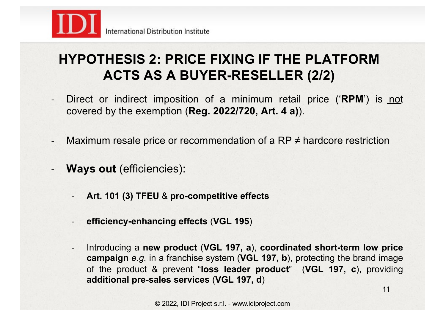

## **HYPOTHESIS 2: PRICE FIXING IF THE PLATFORM ACTS AS A BUYER-RESELLER (2/2)**

- Direct or indirect imposition of a minimum retail price ('**RPM**') is not covered by the exemption (**Reg. 2022/720, Art. 4 a)**).
- Maximum resale price or recommendation of a  $RP \neq$  hardcore restriction
- **Ways out** (efficiencies):
	- **Art. 101 (3) TFEU** & **pro-competitive effects**
	- **efficiency-enhancing effects** (**VGL 195**)
	- Introducing a **new product** (**VGL 197, a**), **coordinated short-term low price campaign** *e.g.* in a franchise system (**VGL 197, b**), protecting the brand image of the product & prevent "**loss leader product**" (**VGL 197, c**), providing **additional pre-sales services** (**VGL 197, d**)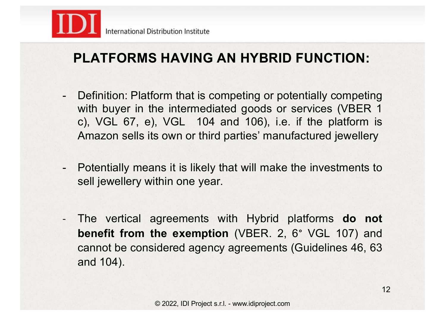

## **PLATFORMS HAVING AN HYBRID FUNCTION:**

- Definition: Platform that is competing or potentially competing with buyer in the intermediated goods or services (VBER 1) c), VGL 67, e), VGL 104 and 106), i.e. if the platform is Amazon sells its own or third parties' manufactured jewellery
- Potentially means it is likely that will make the investments to sell jewellery within one year.
- The vertical agreements with Hybrid platforms **do not benefit from the exemption** (VBER. 2, 6° VGL 107) and cannot be considered agency agreements (Guidelines 46, 63 and 104).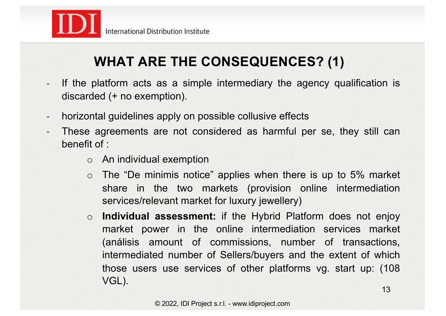

## **WHAT ARE THE CONSEQUENCES? (1)**

- If the platform acts as a simple intermediary the agency qualification is discarded (+ no exemption).
- horizontal guidelines apply on possible collusive effects
- These agreements are not considered as harmful per se, they still can benefit of :
	- o An individual exemption
	- $\circ$  The "De minimis notice" applies when there is up to 5% market share in the two markets (provision online intermediation services/relevant market for luxury jewellery)
	- o **Individual assessment:** if the Hybrid Platform does not enjoy market power in the online intermediation services market (análisis amount of commissions, number of transactions, intermediated number of Sellers/buyers and the extent of which those users use services of other platforms vg. start up: (108 VGL).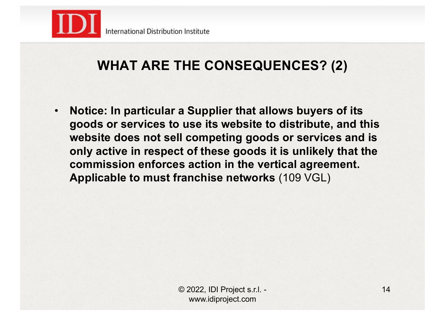

### **WHAT ARE THE CONSEQUENCES? (2)**

• **Notice: In particular a Supplier that allows buyers of its goods or services to use its website to distribute, and this website does not sell competing goods or services and is only active in respect of these goods it is unlikely that the commission enforces action in the vertical agreement. Applicable to must franchise networks** (109 VGL)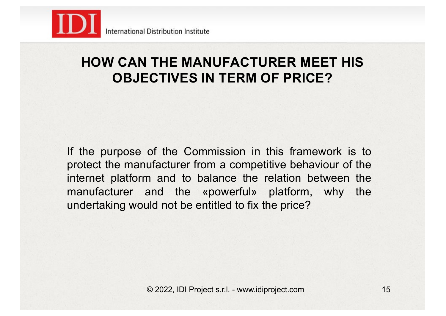

### **HOW CAN THE MANUFACTURER MEET HIS OBJECTIVES IN TERM OF PRICE?**

If the purpose of the Commission in this framework is to protect the manufacturer from a competitive behaviour of the internet platform and to balance the relation between the manufacturer and the «powerful» platform, why the undertaking would not be entitled to fix the price?